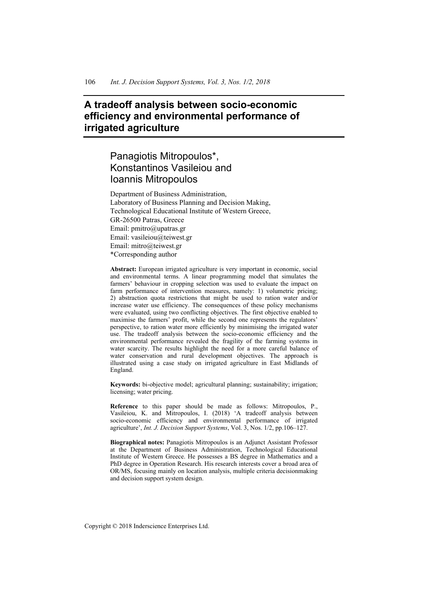# **A tradeoff analysis between socio-economic efficiency and environmental performance of irrigated agriculture**

# Panagiotis Mitropoulos\*, Konstantinos Vasileiou and Ioannis Mitropoulos

Department of Business Administration, Laboratory of Business Planning and Decision Making, Technological Educational Institute of Western Greece, GR-26500 Patras, Greece Email: pmitro@upatras.gr Email: vasileiou@teiwest.gr Email: mitro@teiwest.gr \*Corresponding author

**Abstract:** European irrigated agriculture is very important in economic, social and environmental terms. A linear programming model that simulates the farmers' behaviour in cropping selection was used to evaluate the impact on farm performance of intervention measures, namely: 1) volumetric pricing; 2) abstraction quota restrictions that might be used to ration water and/or increase water use efficiency. The consequences of these policy mechanisms were evaluated, using two conflicting objectives. The first objective enabled to maximise the farmers' profit, while the second one represents the regulators' perspective, to ration water more efficiently by minimising the irrigated water use. The tradeoff analysis between the socio-economic efficiency and the environmental performance revealed the fragility of the farming systems in water scarcity. The results highlight the need for a more careful balance of water conservation and rural development objectives. The approach is illustrated using a case study on irrigated agriculture in East Midlands of England.

**Keywords:** bi-objective model; agricultural planning; sustainability; irrigation; licensing; water pricing.

**Reference** to this paper should be made as follows: Mitropoulos, P., Vasileiou, K. and Mitropoulos, I. (2018) 'A tradeoff analysis between socio-economic efficiency and environmental performance of irrigated agriculture', *Int. J. Decision Support Systems*, Vol. 3, Nos. 1/2, pp.106–127.

**Biographical notes:** Panagiotis Mitropoulos is an Adjunct Assistant Professor at the Department of Business Administration, Technological Educational Institute of Western Greece. He possesses a BS degree in Mathematics and a PhD degree in Operation Research. His research interests cover a broad area of OR/MS, focusing mainly on location analysis, multiple criteria decisionmaking and decision support system design.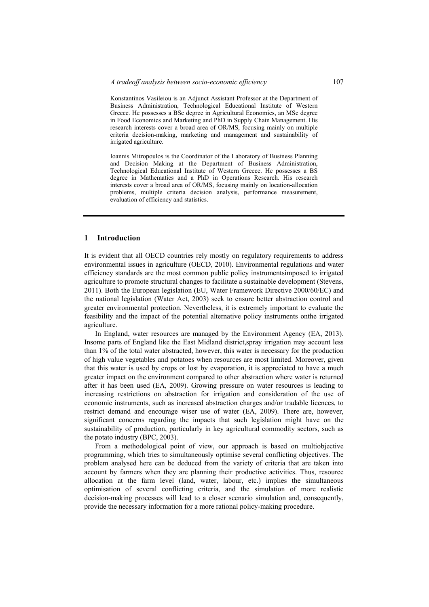Konstantinos Vasileiou is an Adjunct Assistant Professor at the Department of Business Administration, Technological Educational Institute of Western Greece. He possesses a BSc degree in Agricultural Economics, an MSc degree in Food Economics and Marketing and PhD in Supply Chain Management. His research interests cover a broad area of OR/MS, focusing mainly on multiple criteria decision-making, marketing and management and sustainability of irrigated agriculture.

Ioannis Mitropoulos is the Coordinator of the Laboratory of Business Planning and Decision Making at the Department of Business Administration, Technological Educational Institute of Western Greece. He possesses a BS degree in Mathematics and a PhD in Operations Research. His research interests cover a broad area of OR/MS, focusing mainly on location-allocation problems, multiple criteria decision analysis, performance measurement, evaluation of efficiency and statistics.

### **1 Introduction**

It is evident that all OECD countries rely mostly on regulatory requirements to address environmental issues in agriculture (OECD, 2010). Environmental regulations and water efficiency standards are the most common public policy instrumentsimposed to irrigated agriculture to promote structural changes to facilitate a sustainable development (Stevens, 2011). Both the European legislation (EU, Water Framework Directive 2000/60/EC) and the national legislation (Water Act, 2003) seek to ensure better abstraction control and greater environmental protection. Nevertheless, it is extremely important to evaluate the feasibility and the impact of the potential alternative policy instruments onthe irrigated agriculture.

In England, water resources are managed by the Environment Agency (EA, 2013). Insome parts of England like the East Midland district,spray irrigation may account less than 1% of the total water abstracted, however, this water is necessary for the production of high value vegetables and potatoes when resources are most limited. Moreover, given that this water is used by crops or lost by evaporation, it is appreciated to have a much greater impact on the environment compared to other abstraction where water is returned after it has been used (EA, 2009). Growing pressure on water resources is leading to increasing restrictions on abstraction for irrigation and consideration of the use of economic instruments, such as increased abstraction charges and/or tradable licences, to restrict demand and encourage wiser use of water (EA, 2009). There are, however, significant concerns regarding the impacts that such legislation might have on the sustainability of production, particularly in key agricultural commodity sectors, such as the potato industry (BPC, 2003).

From a methodological point of view, our approach is based on multiobjective programming, which tries to simultaneously optimise several conflicting objectives. The problem analysed here can be deduced from the variety of criteria that are taken into account by farmers when they are planning their productive activities. Thus, resource allocation at the farm level (land, water, labour, etc.) implies the simultaneous optimisation of several conflicting criteria, and the simulation of more realistic decision-making processes will lead to a closer scenario simulation and, consequently, provide the necessary information for a more rational policy-making procedure.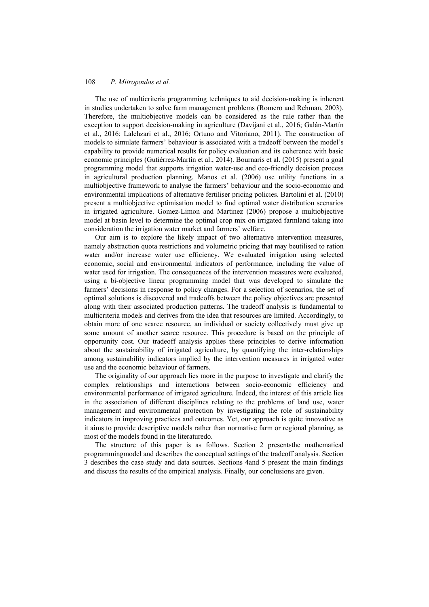The use of multicriteria programming techniques to aid decision-making is inherent in studies undertaken to solve farm management problems (Romero and Rehman, 2003). Therefore, the multiobjective models can be considered as the rule rather than the exception to support decision-making in agriculture (Davijani et al., 2016; Galán-Martín et al., 2016; Lalehzari et al., 2016; Ortuno and Vitoriano, 2011). The construction of models to simulate farmers' behaviour is associated with a tradeoff between the model's capability to provide numerical results for policy evaluation and its coherence with basic economic principles (Gutiérrez-Martín et al., 2014). Bournaris et al. (2015) present a goal programming model that supports irrigation water-use and eco-friendly decision process in agricultural production planning. Manos et al. (2006) use utility functions in a multiobjective framework to analyse the farmers' behaviour and the socio-economic and environmental implications of alternative fertiliser pricing policies. Bartolini et al. (2010) present a multiobjective optimisation model to find optimal water distribution scenarios in irrigated agriculture. Gomez-Limon and Martinez (2006) propose a multiobjective model at basin level to determine the optimal crop mix on irrigated farmland taking into consideration the irrigation water market and farmers' welfare.

Our aim is to explore the likely impact of two alternative intervention measures, namely abstraction quota restrictions and volumetric pricing that may beutilised to ration water and/or increase water use efficiency. We evaluated irrigation using selected economic, social and environmental indicators of performance, including the value of water used for irrigation. The consequences of the intervention measures were evaluated, using a bi-objective linear programming model that was developed to simulate the farmers' decisions in response to policy changes. For a selection of scenarios, the set of optimal solutions is discovered and tradeoffs between the policy objectives are presented along with their associated production patterns. The tradeoff analysis is fundamental to multicriteria models and derives from the idea that resources are limited. Accordingly, to obtain more of one scarce resource, an individual or society collectively must give up some amount of another scarce resource. This procedure is based on the principle of opportunity cost. Our tradeoff analysis applies these principles to derive information about the sustainability of irrigated agriculture, by quantifying the inter-relationships among sustainability indicators implied by the intervention measures in irrigated water use and the economic behaviour of farmers.

The originality of our approach lies more in the purpose to investigate and clarify the complex relationships and interactions between socio-economic efficiency and environmental performance of irrigated agriculture. Indeed, the interest of this article lies in the association of different disciplines relating to the problems of land use, water management and environmental protection by investigating the role of sustainability indicators in improving practices and outcomes. Yet, our approach is quite innovative as it aims to provide descriptive models rather than normative farm or regional planning, as most of the models found in the literaturedo.

The structure of this paper is as follows. Section 2 presentsthe mathematical programmingmodel and describes the conceptual settings of the tradeoff analysis. Section 3 describes the case study and data sources. Sections 4and 5 present the main findings and discuss the results of the empirical analysis. Finally, our conclusions are given.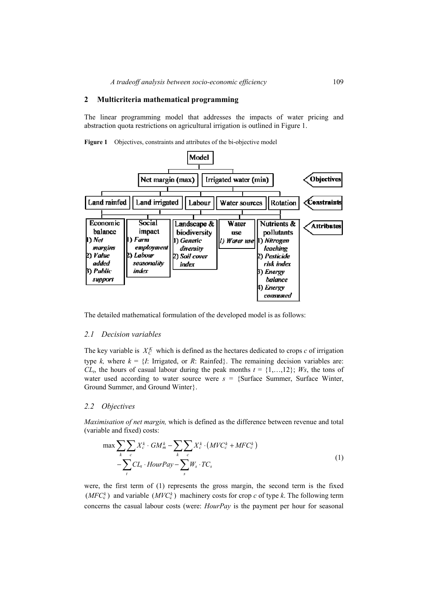#### **2 Multicriteria mathematical programming**

The linear programming model that addresses the impacts of water pricing and abstraction quota restrictions on agricultural irrigation is outlined in Figure 1.

**Figure 1** Objectives, constraints and attributes of the bi-objective model



The detailed mathematical formulation of the developed model is as follows:

### *2.1 Decision variables*

The key variable is  $X_C^K$  which is defined as the hectares dedicated to crops *c* of irrigation type *k*, where  $k = \{I: \text{Irrigated, or } R: \text{Rainfed}\}\)$ . The remaining decision variables are:  $CL<sub>b</sub>$ , the hours of casual labour during the peak months  $t = \{1,...,12\}$ ; *Ws*, the tons of water used according to water source were  $s = \{Surface Summer, Surface Winter,$ Ground Summer, and Ground Winter}.

#### *2.2 Objectives*

*Maximisation of net margin,* which is defined as the difference between revenue and total (variable and fixed) costs:

$$
\max \sum_{k} \sum_{c} X_{c}^{k} \cdot GM_{m}^{k} - \sum_{k} \sum_{c} X_{c}^{k} \cdot (MVC_{c}^{k} + MFC_{c}^{k}) - \sum_{t} CL_{t} \cdot HourPay - \sum_{s} W_{s} \cdot TC_{s}
$$
\n(1)

were, the first term of (1) represents the gross margin, the second term is the fixed ( $MFC<sub>k</sub><sup>k</sup>$ ) and variable ( $MVC<sub>k</sub><sup>k</sup>$ ) machinery costs for crop *c* of type *k*. The following term concerns the casual labour costs (were: *HourPay* is the payment per hour for seasonal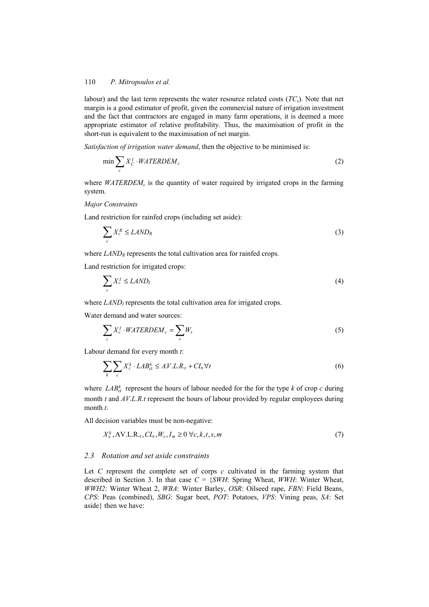labour) and the last term represents the water resource related costs  $(TC<sub>s</sub>)$ . Note that net margin is a good estimator of profit, given the commercial nature of irrigation investment and the fact that contractors are engaged in many farm operations, it is deemed a more appropriate estimator of relative profitability. Thus, the maximisation of profit in the short-run is equivalent to the maximisation of net margin.

*Satisfaction of irrigation water demand*, then the objective to be minimised is:

$$
\min \sum_{c} X_c^I \cdot WATERDEM_c \tag{2}
$$

where  $WATERDEM<sub>c</sub>$  is the quantity of water required by irrigated crops in the farming system.

# *Major Constraints*

Land restriction for rainfed crops (including set aside):

$$
\sum_{c} X_c^R \leq LAND_R \tag{3}
$$

where  $LAND<sub>R</sub>$  represents the total cultivation area for rainfed crops.

Land restriction for irrigated crops:

$$
\sum_{c} X_c^I \leq LAND_I \tag{4}
$$

where *LAND<sub>I</sub>* represents the total cultivation area for irrigated crops.

Water demand and water sources:

$$
\sum_{c} X_c^I \cdot WATERDEM_c = \sum_{s} W_s \tag{5}
$$

Labour demand for every month *t*:

$$
\sum_{k} \sum_{c} X_{c}^{k} \cdot LAB_{\text{ct}}^{k} \le AV.L.R._{t} + CL_{t} \forall t
$$
\n
$$
(6)
$$

where  $LAB_{ct}^k$  represent the hours of labour needed for the for the type  $k$  of crop  $c$  during month *t* and *AV.L.R.t* represent the hours of labour provided by regular employees during month *t*.

All decision variables must be non-negative:

$$
X_{c}^{k}, AV.L.R_{\cdot t}, CL_{t}, W_{s}, I_{m} \geq 0 \,\forall c, k, t, s, m \tag{7}
$$

# *2.3 Rotation and set aside constraints*

Let *C* represent the complete set of corps *c* cultivated in the farming system that described in Section 3. In that case  $C = \{SWH:$  Spring Wheat, *WWH*: Winter Wheat, *WWH2*: Winter Wheat 2, *WBA*: Winter Barley, *OSR*: Oilseed rape, *FBN*: Field Beans, *CPS*: Peas (combined), *SBG*: Sugar beet, *POT*: Potatoes, *VPS*: Vining peas, *SA*: Set aside} then we have: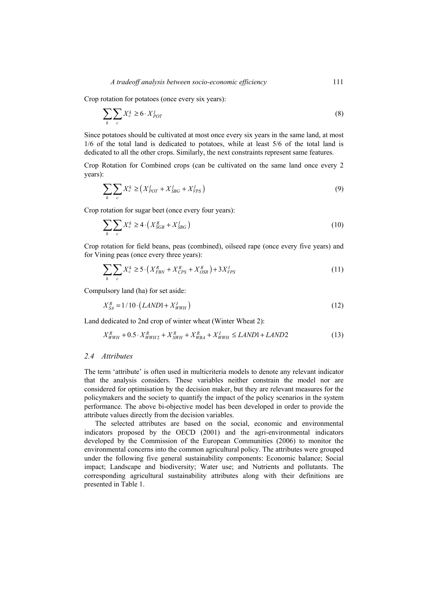Crop rotation for potatoes (once every six years):

$$
\sum_{k} \sum_{c} X_{c}^{k} \ge 6 \cdot X_{POT}^{I}
$$
 (8)

Since potatoes should be cultivated at most once every six years in the same land, at most 1/6 of the total land is dedicated to potatoes, while at least 5/6 of the total land is dedicated to all the other crops. Similarly, the next constraints represent same features.

Crop Rotation for Combined crops (can be cultivated on the same land once every 2 years):

$$
\sum_{k} \sum_{c} X_{c}^{k} \ge \left(X_{POT}^{I} + X_{SBG}^{I} + X_{VPS}^{I}\right) \tag{9}
$$

Crop rotation for sugar beet (once every four years):

$$
\sum_{k} \sum_{c} X_{c}^{k} \ge 4 \cdot \left( X_{SGB}^{R} + X_{SBG}^{I} \right) \tag{10}
$$

Crop rotation for field beans, peas (combined), oilseed rape (once every five years) and for Vining peas (once every three years):

$$
\sum_{k} \sum_{c} X_{c}^{k} \ge 5 \cdot \left( X_{FBN}^{R} + X_{CPS}^{R} + X_{OSR}^{R} \right) + 3X_{VPS}^{I}
$$
\n(11)

Compulsory land (ha) for set aside:

$$
X_{SA}^R = 1/10 \cdot \left(LAND1 + X_{WWH}^I\right) \tag{12}
$$

Land dedicated to 2nd crop of winter wheat (Winter Wheat 2):

$$
X_{WWH}^R + 0.5 \cdot X_{WWH2}^R + X_{SWH}^R + X_{WBA}^R + X_{WWH}^I \leq LAND1 + LAND2 \tag{13}
$$

### *2.4 Attributes*

The term 'attribute' is often used in multicriteria models to denote any relevant indicator that the analysis considers. These variables neither constrain the model nor are considered for optimisation by the decision maker, but they are relevant measures for the policymakers and the society to quantify the impact of the policy scenarios in the system performance. The above bi-objective model has been developed in order to provide the attribute values directly from the decision variables.

The selected attributes are based on the social, economic and environmental indicators proposed by the OECD (2001) and the agri-environmental indicators developed by the Commission of the European Communities (2006) to monitor the environmental concerns into the common agricultural policy. The attributes were grouped under the following five general sustainability components: Economic balance; Social impact; Landscape and biodiversity; Water use; and Nutrients and pollutants. The corresponding agricultural sustainability attributes along with their definitions are presented in Table 1.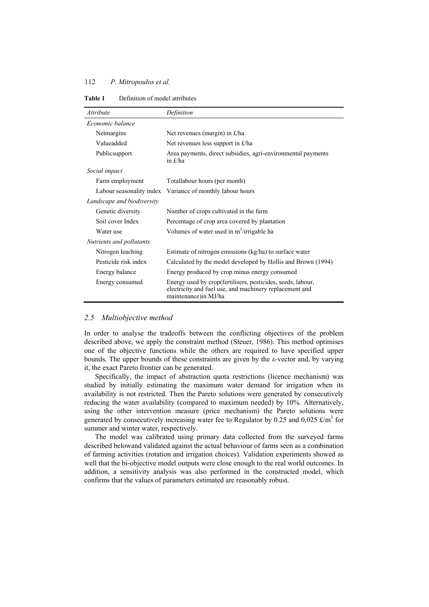| Table 1 | Definition of model attributes |  |  |
|---------|--------------------------------|--|--|
|---------|--------------------------------|--|--|

| Attribute                  | Definition                                                                                                                                      |
|----------------------------|-------------------------------------------------------------------------------------------------------------------------------------------------|
| Economic balance           |                                                                                                                                                 |
| Netmargins                 | Net revenues (margin) in $\angle$ /ha                                                                                                           |
| Valueadded                 | Net revenues less support in $\angle$ /ha                                                                                                       |
| Publicsupport              | Area payments, direct subsidies, agri-environmental payments<br>in $f/ha$                                                                       |
| Social impact              |                                                                                                                                                 |
| Farm employment            | Totallabour hours (per month)                                                                                                                   |
| Labour seasonality index   | Variance of monthly labour hours                                                                                                                |
| Landscape and biodiversity |                                                                                                                                                 |
| Genetic diversity          | Number of crops cultivated in the farm                                                                                                          |
| Soil cover Index           | Percentage of crop area covered by plantation                                                                                                   |
| Water use                  | Volumes of water used in $m^3$ /irrigable ha                                                                                                    |
| Nutrients and pollutants   |                                                                                                                                                 |
| Nitrogen leaching          | Estimate of nitrogen emissions (kg/ha) to surface water                                                                                         |
| Pesticide risk index       | Calculated by the model developed by Hollis and Brown (1994)                                                                                    |
| Energy balance             | Energy produced by crop minus energy consumed                                                                                                   |
| Energy consumed            | Energy used by crop (fertilisers, pesticides, seeds, labour,<br>electricity and fuel use, and machinery replacement and<br>maintenance)in MJ/ha |

#### *2.5 Multiobjective method*

In order to analyse the tradeoffs between the conflicting objectives of the problem described above, we apply the constraint method (Steuer, 1986). This method optimises one of the objective functions while the others are required to have specified upper bounds. The upper bounds of these constraints are given by the ε-vector and, by varying it, the exact Pareto frontier can be generated.

Specifically, the impact of abstraction quota restrictions (licence mechanism) was studied by initially estimating the maximum water demand for irrigation when its availability is not restricted. Then the Pareto solutions were generated by consecutively reducing the water availability (compared to maximum needed) by 10%. Alternatively, using the other intervention measure (price mechanism) the Pareto solutions were generated by consecutively increasing water fee to Regulator by 0.25 and 0.025  $\text{\textsterling}\textsc{i}/\text{m}^3$  for summer and winter water, respectively.

The model was calibrated using primary data collected from the surveyed farms described belowand validated against the actual behaviour of farms seen as a combination of farming activities (rotation and irrigation choices). Validation experiments showed as well that the bi-objective model outputs were close enough to the real world outcomes. In addition, a sensitivity analysis was also performed in the constructed model, which confirms that the values of parameters estimated are reasonably robust.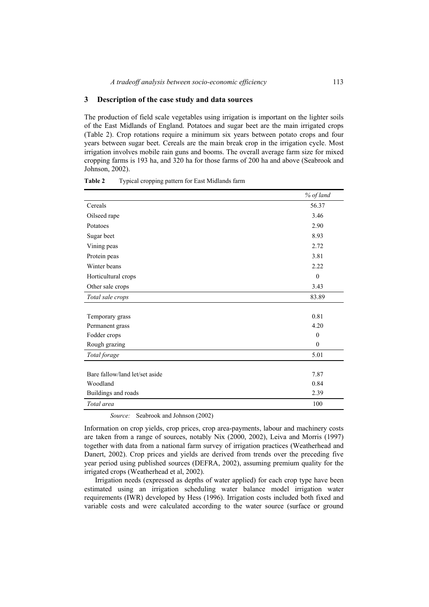#### **3 Description of the case study and data sources**

The production of field scale vegetables using irrigation is important on the lighter soils of the East Midlands of England. Potatoes and sugar beet are the main irrigated crops (Table 2). Crop rotations require a minimum six years between potato crops and four years between sugar beet. Cereals are the main break crop in the irrigation cycle. Most irrigation involves mobile rain guns and booms. The overall average farm size for mixed cropping farms is 193 ha, and 320 ha for those farms of 200 ha and above (Seabrook and Johnson, 2002).

**Table 2** Typical cropping pattern for East Midlands farm

|                                | % of land    |
|--------------------------------|--------------|
| Cereals                        | 56.37        |
| Oilseed rape                   | 3.46         |
| Potatoes                       | 2.90         |
| Sugar beet                     | 8.93         |
| Vining peas                    | 2.72         |
| Protein peas                   | 3.81         |
| Winter beans                   | 2.22         |
| Horticultural crops            | $\theta$     |
| Other sale crops               | 3.43         |
| Total sale crops               | 83.89        |
|                                |              |
| Temporary grass                | 0.81         |
| Permanent grass                | 4.20         |
| Fodder crops                   | $\mathbf{0}$ |
| Rough grazing                  | $\theta$     |
| Total forage                   | 5.01         |
|                                |              |
| Bare fallow/land let/set aside | 7.87         |
| Woodland                       | 0.84         |
| Buildings and roads            | 2.39         |
| Total area                     | 100          |

*Source:* Seabrook and Johnson (2002)

Information on crop yields, crop prices, crop area-payments, labour and machinery costs are taken from a range of sources, notably Nix (2000, 2002), Leiva and Morris (1997) together with data from a national farm survey of irrigation practices (Weatherhead and Danert, 2002). Crop prices and yields are derived from trends over the preceding five year period using published sources (DEFRA, 2002), assuming premium quality for the irrigated crops (Weatherhead et al, 2002).

Irrigation needs (expressed as depths of water applied) for each crop type have been estimated using an irrigation scheduling water balance model irrigation water requirements (IWR) developed by Hess (1996). Irrigation costs included both fixed and variable costs and were calculated according to the water source (surface or ground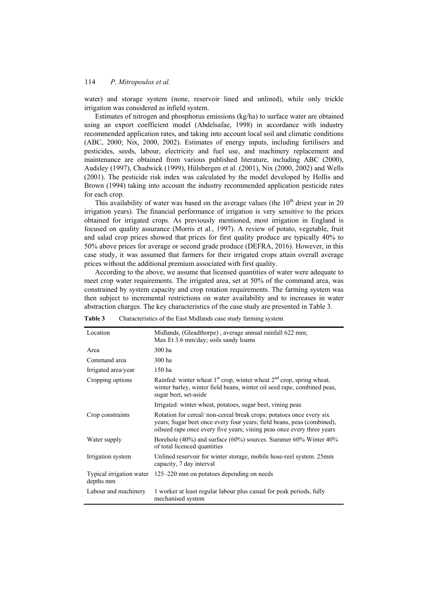water) and storage system (none, reservoir lined and unlined), while only trickle irrigation was considered as infield system.

Estimates of nitrogen and phosphorus emissions (kg/ha) to surface water are obtained using an export coefficient model (Abdelsafae, 1998) in accordance with industry recommended application rates, and taking into account local soil and climatic conditions (ABC, 2000; Nix, 2000, 2002). Estimates of energy inputs, including fertilisers and pesticides, seeds, labour, electricity and fuel use, and machinery replacement and maintenance are obtained from various published literature, including ABC (2000), Audsley (1997), Chadwick (1999), Hülsbergen et al. (2001), Nix (2000, 2002) and Wells (2001). The pesticide risk index was calculated by the model developed by Hollis and Brown (1994) taking into account the industry recommended application pesticide rates for each crop.

This availability of water was based on the average values (the  $10<sup>th</sup>$  driest year in 20 irrigation years). The financial performance of irrigation is very sensitive to the prices obtained for irrigated crops. As previously mentioned, most irrigation in England is focused on quality assurance (Morris et al., 1997). A review of potato, vegetable, fruit and salad crop prices showed that prices for first quality produce are typically 40% to 50% above prices for average or second grade produce (DEFRA, 2016). However, in this case study, it was assumed that farmers for their irrigated crops attain overall average prices without the additional premium associated with first quality.

According to the above, we assume that licensed quantities of water were adequate to meet crop water requirements. The irrigated area, set at 50% of the command area, was constrained by system capacity and crop rotation requirements. The farming system was then subject to incremental restrictions on water availability and to increases in water abstraction charges. The key characteristics of the case study are presented in Table 3.

| Location                              | Midlands, (Gleadthorpe), average annual rainfall 622 mm;<br>Max Et 3.6 mm/day; soils sandy loams                                                                                                                        |
|---------------------------------------|-------------------------------------------------------------------------------------------------------------------------------------------------------------------------------------------------------------------------|
| Area                                  | 300 ha                                                                                                                                                                                                                  |
| Command area                          | 300 ha                                                                                                                                                                                                                  |
| Irrigated area/year                   | 150 ha                                                                                                                                                                                                                  |
| Cropping options                      | Rainfed: winter wheat $1st$ crop, winter wheat $2nd$ crop, spring wheat,<br>winter barley, winter field beans, winter oil seed rape, combined peas,<br>sugar beet, set-aside                                            |
|                                       | Irrigated: winter wheat, potatoes, sugar beet, vining peas                                                                                                                                                              |
| Crop constraints                      | Rotation for cereal/non-cereal break crops; potatoes once every six<br>years; Sugar beet once every four years; field beans, peas (combined),<br>oilseed rape once every five years; vining peas once every three years |
| Water supply                          | Borehole (40%) and surface (60%) sources. Summer 60% Winter 40%<br>of total licenced quantities                                                                                                                         |
| Irrigation system                     | Unlined reservoir for winter storage, mobile hose-reel system. 25mm<br>capacity, 7 day interval                                                                                                                         |
| Typical irrigation water<br>depths mm | 125–220 mm on potatoes depending on needs                                                                                                                                                                               |
| Labour and machinery                  | 1 worker at least regular labour plus casual for peak periods, fully<br>mechanised system                                                                                                                               |

**Table 3** Characteristics of the East Midlands case study farming system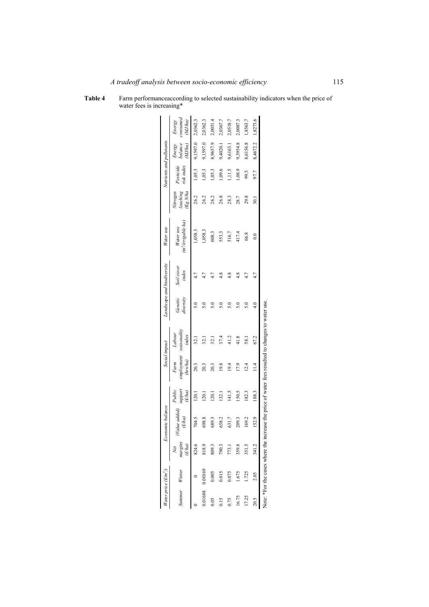|       | Water price $(f/m^2)$ |         | Economic balance                                                                                  |                                        | Social impact                  |                                |                      | Landscape and biodiversity | Water use                                   |                                  | Nutrients and pollutants |                                    |                               |
|-------|-----------------------|---------|---------------------------------------------------------------------------------------------------|----------------------------------------|--------------------------------|--------------------------------|----------------------|----------------------------|---------------------------------------------|----------------------------------|--------------------------|------------------------------------|-------------------------------|
|       |                       | margins | (Value added)<br>(£ha)                                                                            | troddns<br>Public<br>$(\mathcal{L}ha)$ | employment<br>(hrs/ha)<br>Farm | seasonality<br>Labour<br>index | diversity<br>Genetic | Soil cover<br>index        | (m <sup>3</sup> /irrigable ha)<br>Water use | (Kg N/ha<br>leaching<br>Nitrogen | risk index<br>Pesticide  | balance<br>(MJha)<br><b>Energy</b> | consumed<br>(MJ/ha)<br>Energy |
|       |                       |         | 704.5                                                                                             | 120.1                                  | 20.3                           | $\overline{321}$               | 5.0                  | ŗ                          | ,058.3                                      | 26.2                             | 1,05.3                   | 9,1597.0                           | 2,0362.3                      |
| 01688 | 0.00169               | 818.9   | 698.8                                                                                             | 120.1                                  | 20.3                           | 32.1                           |                      | ŗ                          | 1,058.3                                     | 26.2                             | 1,05.3                   | 9,1597.0                           | 2,0362.3                      |
|       | 0.005                 | 809.3   | 689.3                                                                                             | 120.1                                  | 20.3                           | 32.1                           |                      |                            | 608.3                                       | 26.2                             | 1,05.3                   | 8,9657.9                           | 2,0051.4                      |
|       | 0.015                 |         | 658.2                                                                                             | 132.1                                  | 19.8                           | 37.4                           |                      |                            | 553.3                                       | 26.8                             | 1,09.6                   | 9,4020.1                           | 2,0367.7                      |
|       | 0.075                 | 773.1   | 631.7                                                                                             | 141.5                                  | 19.4                           | 41.2                           |                      |                            | 516.7                                       | 28.3                             | 1,11.5                   | 9,6163.1                           | 2,0518.7                      |
| 16.75 | 1.675                 | 359.8   | 209.3                                                                                             | 150.5                                  | 17.9                           | 41.8                           |                      |                            | 417.4                                       | 28.7                             | 1,08.9                   | 9,3954.8                           | 2,0087.3                      |
| 17.25 | 1.725                 | 351.5   | 169.2                                                                                             | 182.3                                  | 12.4                           | 58.1                           | 5.0                  | ŗ                          | 66.8                                        | 29.8                             | 99.5                     | 8,6156.8                           | 1,8563.7                      |
| 20.5  | 2.05                  | 341.2   | 152.9                                                                                             | 188.3                                  | 11.4                           | 67.2                           | $\frac{4.0}{4}$      | 4.7                        | $\overline{0.0}$                            | 30.1                             | 97.7                     | 8,4672.2                           | 1,8273.6                      |
|       |                       |         | Note: *For the cases where the increase the price of water fees resulted to changes to water use. |                                        |                                |                                |                      |                            |                                             |                                  |                          |                                    |                               |

**Table 4** Farm performanceaccording to selected sustainability indicators when the price of water fees is increasing\*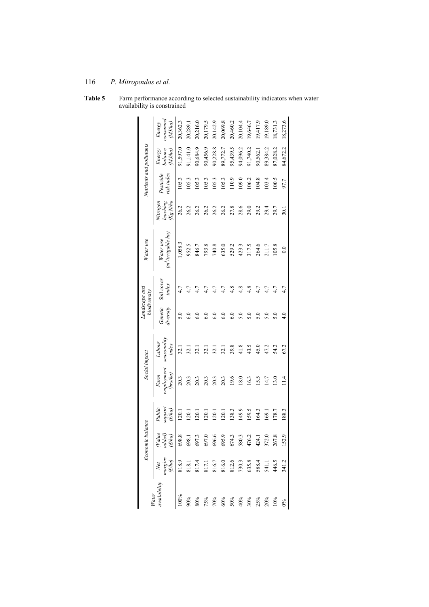| Water               |                                                    | valance<br>Economic b                     |                            | Social impact                  |                                |                      | Landscape and<br>biodiversity | Water use                          |                                  | Nutrients and pollutants |                              |                             |
|---------------------|----------------------------------------------------|-------------------------------------------|----------------------------|--------------------------------|--------------------------------|----------------------|-------------------------------|------------------------------------|----------------------------------|--------------------------|------------------------------|-----------------------------|
| $r$ vaila $b$ ility | $max_{\text{gins}}$<br>(£ha)<br>Net                | $\label{value} (Value$<br>added)<br>(£ha) | support<br>Public<br>(Lha) | employment<br>(hrs/ha)<br>Farm | seasonality<br>Labour<br>index | Genetic<br>diversity | Soil cover<br>index           | $(m^3$ /irrigable ha)<br>Water use | (Kg N/ha<br>leaching<br>Nitrogen | risk index<br>Pesticide  | balance<br>(MJ/ha)<br>Energy | cosumec<br>Energy<br>(MJha) |
| 100%                | 818.9                                              | 698.8                                     | 120.1                      | 20.3                           | 32.1                           | 5.0                  | 4.7                           | 1,058.3                            | 26.2                             | 105.3                    | 91,597.0                     | 20,362.3                    |
| 90%                 | 818.1                                              | 698.1                                     | 120.1                      | 20.3                           | 32.1                           | 6.0                  | 4.7                           | 952.5                              | 26.2                             | 105.3                    | 91,141.0                     | 20,289.1                    |
| 80%                 |                                                    | 697.3                                     | 120.1                      | 20.3                           | 32.1                           | $\ddot{6}$ .0        | 4.7                           | 846.7                              | 26.2                             | 105.3                    | 90,684.9                     | 20,216.0                    |
| 75%                 |                                                    |                                           | $\frac{20}{1}$             | 20.3                           | 32.1                           | $\ddot{6}$ .0        | 4.7                           | 793.8                              | 26.2                             | 105.3                    | 90,456.9                     | 20,179.5                    |
| 70%                 |                                                    |                                           | 120.1                      | 20.3                           | $\overline{32.1}$              | $\rm ^{6.0}$         | 4.7                           | 740.8                              | 26.2                             | 105.3                    | 90,228.8                     | 20,142.9                    |
| 60%                 | 817.4<br>817.1<br>816.7<br>812.6<br>730.3<br>730.3 | 697.0<br>696.6<br>674.3                   | 120.1                      | 20.3                           | 32.1                           | 6.0                  | 4.7                           | 635.0                              | 26.2                             | 105.3                    | 89,772.7                     | 20,069.8                    |
| 50%                 |                                                    |                                           | 138.3                      | 19.6                           | 39.8                           | 6.0                  | 4.8                           | 529.2                              | 27.8                             | 110.9                    | 95,439.5                     | 20,460.2                    |
| 40%                 |                                                    | 580.3<br>476.2                            | 149.9                      | 18.0                           | 41.8                           | 5.0                  | 4.8                           | 423.3                              | 28.6                             | 109.0                    | 94,096.2                     | 20,104.4                    |
| 30%                 |                                                    |                                           | 159.5                      | 16.3                           | 43.5                           | 5.0                  | 4.8                           | 317.5                              | 29.0                             | 106.2                    | 91,740.2                     | 19,646.7                    |
| 25%                 | 588.4                                              | 424.1                                     | 164.3                      | 15.5                           | 45.0                           | 5.0                  | 4.7                           | 264.6                              | 29.2                             | 104.8                    | 90,562.1                     | 19,417.9                    |
| 20%                 | 541.1<br>446.5                                     | 372.0                                     | 169.1                      | 14.7                           | 47.2                           | 5.0                  | 4.7                           | 211.7                              | 29.4                             | 103.4                    | 89,384.2                     | 19,189.0                    |
| 10%                 |                                                    | 267.8                                     | 178.7                      | 13.0                           | 54.2                           | 5.0                  | 4.7                           | 105.8                              | 29.7                             | 100.5                    | 87,028.2                     | 18,731.3                    |
| $\delta_{0}$        | 341.2                                              | 152.9                                     | 188.3                      | $\frac{4}{11}$                 | 67.2                           | $\frac{1}{4}$        | 4.7                           | 0.0                                | 30.1                             | 97.7                     | 84,672.2                     | 18,273.6                    |

#### **Table 5** Farm performance according to selected sustainability indicators when water availability is constrained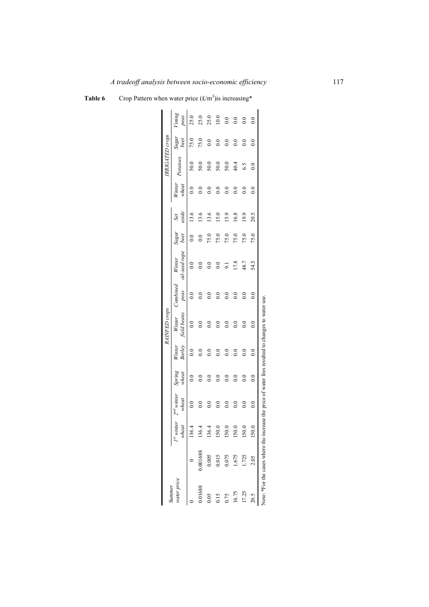| Crop Pattern when water price $(f/m^3)$ is increasing*<br>Table 6 |  |
|-------------------------------------------------------------------|--|
|-------------------------------------------------------------------|--|

| <b>Summer</b> |          |                                          |                       |                 |                         | RAINFED crops                                                                                     |                    |                         |               |              |                 | <b>IRRIGATED</b> crops |                      |                  |
|---------------|----------|------------------------------------------|-----------------------|-----------------|-------------------------|---------------------------------------------------------------------------------------------------|--------------------|-------------------------|---------------|--------------|-----------------|------------------------|----------------------|------------------|
| vater price   |          | $l^{st}$ winter<br>$\overline{u}$<br>whe | $2na$ winter<br>wheat | Spring<br>wheat | <b>Barley</b><br>Winter | field beans<br>Winter                                                                             | Combined<br>peas   | oil-seed rape<br>Winter | Sugar<br>beet | aside<br>Set | Winter<br>wheat | Potatoes               | <b>Sugar</b><br>beet | Vining<br>peas   |
|               |          | 4<br>136                                 | $\ddot{0}$ .          | 0.0             | 0.0                     | 0.0                                                                                               | $\ddot{0}$ .       | $\ddot{0}$ .            | $\ddot{0}$ .  | 13.6         | $\ddot{\circ}$  | 50.0                   | 75.0                 | 25.0             |
| .01688        | 0.001688 | 4<br>136.                                | 0.0                   | 0.0             | 0.0                     | $_{0.0}$                                                                                          | $_{0.0}$           | 0.0                     | 0.0           | 13.6         | $_{0.0}$        | 50.0                   | 75.0                 |                  |
|               | 0.005    | 136.4                                    | 0.0                   | 0.0             | 0.0                     | ိ                                                                                                 | 0.0                | $_{0.0}$                | 75.0          | 13.6         | 0.0             | 50.0                   | 0.0                  | $25.0$<br>$25.0$ |
| 0.15          | 0.015    | ্<br>$\overline{50}$                     | 0.0                   | 0.0             | 0.0                     | $\overline{0}$ .                                                                                  | 0.0                | $\rm{C}$                | 75.0          | 15.0         | 0.0             | 50.0                   | 0.0                  | $10.0$           |
| 0.75          | 0.075    | 150.0                                    | 0.0                   | 0.0             | 0.0                     | 0.0                                                                                               | 0.0                | 9.1                     | 75.0          | 15.9         | 0.0             | 50.0                   | 0.0                  | 0.0              |
| 16.75         | 1.675    | 150.0                                    | $\overline{0}$ .      | 0.0             | 0.0                     | 0.0                                                                                               | $\ddot{0}$ .       | 17.8                    | 75.0          | 16.8         | 0.0             | 40.4                   | 0.0                  | 0.0              |
| 17.25         | 1.725    | 150.0                                    | 0.0                   | 0.0             | 0.0                     | $\ddot{0}$ .                                                                                      | 0.0                | 48.7                    | 75.0          | 19.9         | 0.0             | 6.5                    | 0.0                  | 0.0              |
| 20.5          | 2.05     | Q<br>150                                 | $\ddot{0}$ .          | 0.0             | 0.0                     | 0.0                                                                                               | $_{\rm o}^{\rm o}$ | 54.5                    | 75.0          | 20.5         | $_{0.0}$        | $_{0.0}$               | $\ddot{0}$ .         | $\rm{C}$         |
|               |          |                                          |                       |                 |                         | Note: *For the cases where the increase the price of water fees resulted to changes to water use. |                    |                         |               |              |                 |                        |                      |                  |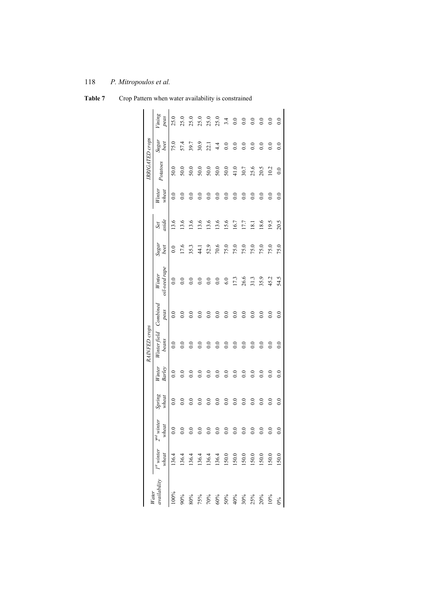| Vater       |                                 |                                   |                  |                         | RAINFED crops         |                  |                                      |                  |                            |                  | <b>IRRIGATED</b> crops |                      |                                                                                       |
|-------------|---------------------------------|-----------------------------------|------------------|-------------------------|-----------------------|------------------|--------------------------------------|------------------|----------------------------|------------------|------------------------|----------------------|---------------------------------------------------------------------------------------|
| wailability | I <sup>st</sup> winter<br>where | 2 <sup>nd</sup> winter<br>whereat | Spring<br>wheat  | Winter<br><b>Barley</b> | Winter field<br>beans | Combined<br>peas | oil-seed rape<br>Winter              | Sugar<br>beet    | aside<br>$\cal S$          | Winter<br>where  | Potatoes               | $Suger$<br>beet      | Vining<br>peas                                                                        |
| 100%        | 136.4                           | 0.0                               | 0.0              | 0.0                     | 0.0                   | 0.0              | 0.0                                  | $\overline{0.0}$ | 13.6                       | 0.0              | 50.0                   | 75.0                 | 25.0                                                                                  |
| 90%         | 136.4                           | 0.0                               | 0.0              | 0.0                     | 0.0                   | $\overline{0.0}$ | 0.0                                  | 17.6             | 13.6                       | $_{0.0}$         | 50.0                   | 57.4                 |                                                                                       |
| 80%         | 136.4                           | 0.0                               | $_{0.0}$         | $_{0.0}$                | $_{0.0}$              | $\overline{0.0}$ | 0.0                                  | 35.3             |                            | $\ddot{\circ}$   | 50.0                   | 39.7                 |                                                                                       |
| 75%         | 136.4                           | $\overline{0}$ .                  | $\overline{0.0}$ | $_{\rm 0.0}$            | $_{0.0}$              | $\overline{0.0}$ | $0.0\,$                              | 44.1             | $13.6$<br>$13.6$<br>$13.6$ | $\overline{0}$ . | 50.0                   | 30.9                 | $\begin{array}{c} 25.0 \\ 25.0 \\ 25.0 \\ 25.0 \\ 25.0 \\ 35.0 \\ 0.0 \\ \end{array}$ |
| 70%         | 136.4                           | $\overline{0}$                    | 0.0              | 0.0                     | $\overline{0.0}$      | 0.0              | 0.0                                  | 52.9             |                            | 0.0              | 50.0                   | $22.1$<br>4.4<br>0.0 |                                                                                       |
| 60%         | 136.4                           | $\overline{0}$                    | $_{0.0}$         | $0.0\,$                 | $0.0\,$               | $\overline{0.0}$ | $_{\rm 0.0}$                         | 70.6             |                            | 0.0              | 50.0                   |                      |                                                                                       |
| 50%         | 150.0                           | $\overline{0}$                    | $_{0.0}$         | $_{0.0}$                | $_{0.0}$              | 0.0              | 6.0                                  | 75.0             | 15.6<br>16.7               | $_{0.0}$         | 50.0                   |                      |                                                                                       |
| 40%         | 150.0                           | $\rm{c}^{\circ}$                  | $_{0.0}$         | $_{0.0}$                | $_{0.0}$              | $_{0.0}$         |                                      | 75.0             |                            | $0.0\,$          | 41.0                   | $_{0.0}$             |                                                                                       |
| 30%         | 150.0                           | $\overline{0}$                    | 0.0              | $_{0.0}$                | $_{0.0}$              | $\overline{0.0}$ | $17.3$<br>$26.6$<br>$31.3$<br>$45.2$ | 75.0             | 17.7                       | 0.0              | 30.7                   | 0.0                  | $0.0\,$                                                                               |
| 25%         | 150.0                           | $\frac{6}{10}$                    | $\overline{0.0}$ | $0.0\,$                 | 0.0                   | 0.0              |                                      | 75.0             | 18.1                       | $0.0\,$          | 25.6<br>20.5           | $_{0.0}$             | $0.0\,$                                                                               |
| 20%         | 150.0                           | $\overline{c}$                    | $_{0.0}$         | $_{0.0}$                | $_{0.0}$              | $_{0.0}$         |                                      | 75.0             | 18.6                       | 0.0              |                        | 0.0                  | $_{0.0}$                                                                              |
| 10%         | 150.0                           |                                   | 0.0              | $0.0\,$                 | 0.0                   | $_{0.0}$         |                                      | 75.0             | 19.5                       | 0.0              | 10.2                   | $_{0.0}$             | 0.0                                                                                   |
| ్గ          | 150.0                           |                                   | 0.0              | $\overline{0.0}$        | $\overline{0.0}$      | $\overline{0.0}$ | 54.5                                 | 75.0             | 20.5                       | $_{0.0}$         | 0.0                    | $\overline{0}$ .     |                                                                                       |

# Table 7 Crop Pattern when water availability is constrained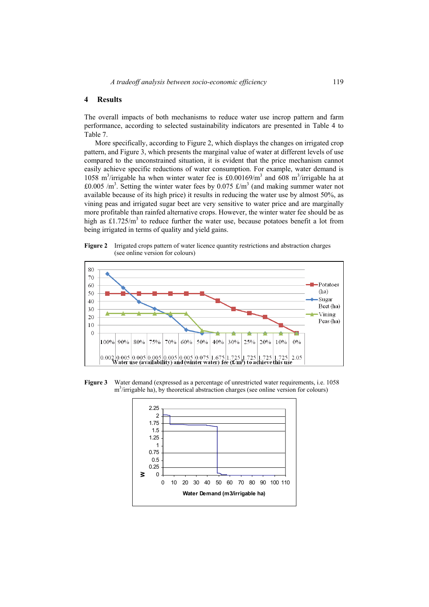# **4 Results**

The overall impacts of both mechanisms to reduce water use incrop pattern and farm performance, according to selected sustainability indicators are presented in Table 4 to Table 7.

More specifically, according to Figure 2, which displays the changes on irrigated crop pattern, and Figure 3, which presents the marginal value of water at different levels of use compared to the unconstrained situation, it is evident that the price mechanism cannot easily achieve specific reductions of water consumption. For example, water demand is 1058 m<sup>3</sup>/irrigable ha when winter water fee is £0.00169/m<sup>3</sup> and 608 m<sup>3</sup>/irrigable ha at £0.005 /m<sup>3</sup>. Setting the winter water fees by 0.075  $\text{\textsterling}/\text{m}^3$  (and making summer water not available because of its high price) it results in reducing the water use by almost 50%, as vining peas and irrigated sugar beet are very sensitive to water price and are marginally more profitable than rainfed alternative crops. However, the winter water fee should be as high as £1.725/ $m<sup>3</sup>$  to reduce further the water use, because potatoes benefit a lot from being irrigated in terms of quality and yield gains.





**Figure 3** Water demand (expressed as a percentage of unrestricted water requirements, i.e. 1058 m<sup>3</sup>/irrigable ha), by theoretical abstraction charges (see online version for colours)

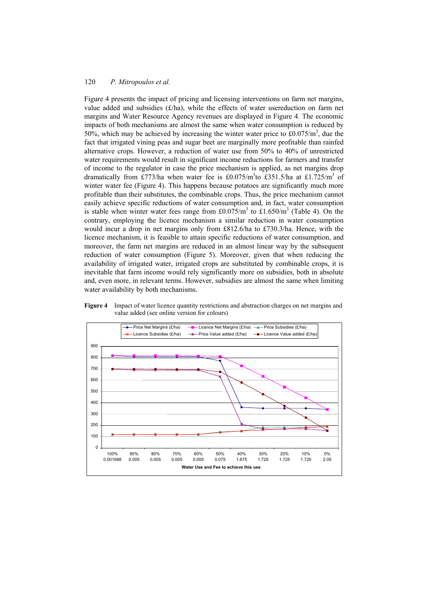Figure 4 presents the impact of pricing and licensing interventions on farm net margins, value added and subsidies (£/ha), while the effects of water usereduction on farm net margins and Water Resource Agency revenues are displayed in Figure 4. The economic impacts of both mechanisms are almost the same when water consumption is reduced by 50%, which may be achieved by increasing the winter water price to  $\text{\pounds}0.075/\text{m}^3$ , due the fact that irrigated vining peas and sugar beet are marginally more profitable than rainfed alternative crops. However, a reduction of water use from 50% to 40% of unrestricted water requirements would result in significant income reductions for farmers and transfer of income to the regulator in case the price mechanism is applied, as net margins drop dramatically from £773/ha when water fee is £0.075/m<sup>3</sup>to £351.5/ha at £1.725/m<sup>3</sup> of winter water fee (Figure 4). This happens because potatoes are significantly much more profitable than their substitutes, the combinable crops. Thus, the price mechanism cannot easily achieve specific reductions of water consumption and, in fact, water consumption is stable when winter water fees range from  $\text{\pounds}0.075/\text{m}^3$  to  $\text{\pounds}1.650/\text{m}^3$  (Table 4). On the contrary, employing the licence mechanism a similar reduction in water consumption would incur a drop in net margins only from £812.6/ha to £730.3/ha. Hence, with the licence mechanism, it is feasible to attain specific reductions of water consumption, and moreover, the farm net margins are reduced in an almost linear way by the subsequent reduction of water consumption (Figure 5). Moreover, given that when reducing the availability of irrigated water, irrigated crops are substituted by combinable crops, it is inevitable that farm income would rely significantly more on subsidies, both in absolute and, even more, in relevant terms. However, subsidies are almost the same when limiting water availability by both mechanisms.



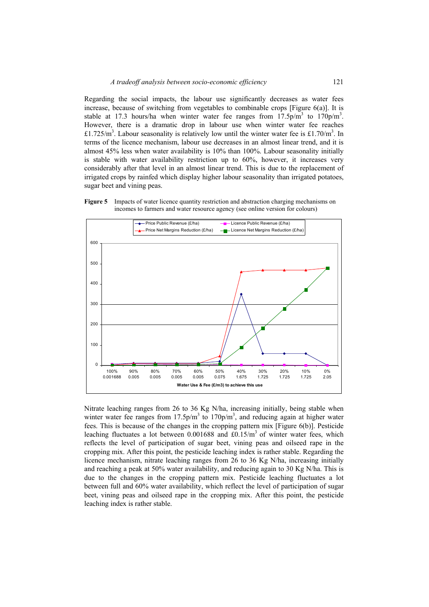Regarding the social impacts, the labour use significantly decreases as water fees increase, because of switching from vegetables to combinable crops [Figure 6(a)]. It is stable at 17.3 hours/ha when winter water fee ranges from  $17.5$ p/m<sup>3</sup> to  $170$ p/m<sup>3</sup>. However, there is a dramatic drop in labour use when winter water fee reaches £1.725/m<sup>3</sup>. Labour seasonality is relatively low until the winter water fee is £1.70/m<sup>3</sup>. In terms of the licence mechanism, labour use decreases in an almost linear trend, and it is almost 45% less when water availability is 10% than 100%. Labour seasonality initially is stable with water availability restriction up to 60%, however, it increases very considerably after that level in an almost linear trend. This is due to the replacement of irrigated crops by rainfed which display higher labour seasonality than irrigated potatoes, sugar beet and vining peas.





Nitrate leaching ranges from 26 to 36 Kg N/ha, increasing initially, being stable when winter water fee ranges from  $17.5$ p/m<sup>3</sup> to  $170$ p/m<sup>3</sup>, and reducing again at higher water fees. This is because of the changes in the cropping pattern mix [Figure 6(b)]. Pesticide leaching fluctuates a lot between  $0.001688$  and  $\text{\pounds}0.15/m^3$  of winter water fees, which reflects the level of participation of sugar beet, vining peas and oilseed rape in the cropping mix. After this point, the pesticide leaching index is rather stable. Regarding the licence mechanism, nitrate leaching ranges from 26 to 36 Kg N/ha, increasing initially and reaching a peak at 50% water availability, and reducing again to 30 Kg N/ha. This is due to the changes in the cropping pattern mix. Pesticide leaching fluctuates a lot between full and 60% water availability, which reflect the level of participation of sugar beet, vining peas and oilseed rape in the cropping mix. After this point, the pesticide leaching index is rather stable.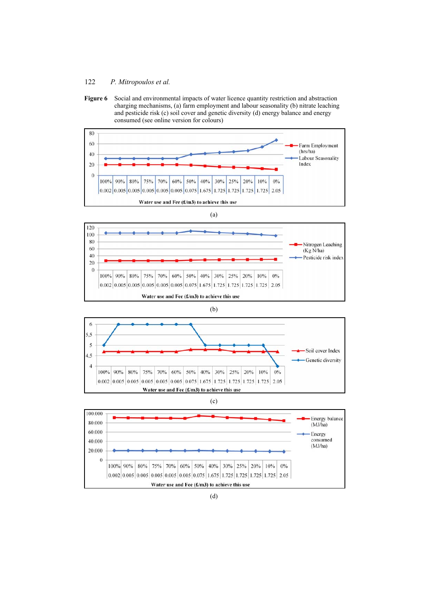





(b)







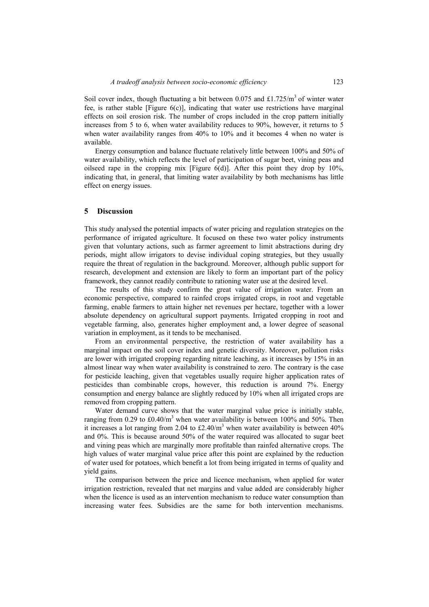Soil cover index, though fluctuating a bit between 0.075 and  $\text{\pounds}1.725/m^3$  of winter water fee, is rather stable [Figure 6(c)], indicating that water use restrictions have marginal effects on soil erosion risk. The number of crops included in the crop pattern initially increases from 5 to 6, when water availability reduces to 90%, however, it returns to 5 when water availability ranges from 40% to 10% and it becomes 4 when no water is available.

Energy consumption and balance fluctuate relatively little between 100% and 50% of water availability, which reflects the level of participation of sugar beet, vining peas and oilseed rape in the cropping mix [Figure  $6(d)$ ]. After this point they drop by 10%, indicating that, in general, that limiting water availability by both mechanisms has little effect on energy issues.

### **5 Discussion**

This study analysed the potential impacts of water pricing and regulation strategies on the performance of irrigated agriculture. It focused on these two water policy instruments given that voluntary actions, such as farmer agreement to limit abstractions during dry periods, might allow irrigators to devise individual coping strategies, but they usually require the threat of regulation in the background. Moreover, although public support for research, development and extension are likely to form an important part of the policy framework, they cannot readily contribute to rationing water use at the desired level.

The results of this study confirm the great value of irrigation water. From an economic perspective, compared to rainfed crops irrigated crops, in root and vegetable farming, enable farmers to attain higher net revenues per hectare, together with a lower absolute dependency on agricultural support payments. Irrigated cropping in root and vegetable farming, also, generates higher employment and, a lower degree of seasonal variation in employment, as it tends to be mechanised.

From an environmental perspective, the restriction of water availability has a marginal impact on the soil cover index and genetic diversity. Moreover, pollution risks are lower with irrigated cropping regarding nitrate leaching, as it increases by 15% in an almost linear way when water availability is constrained to zero. The contrary is the case for pesticide leaching, given that vegetables usually require higher application rates of pesticides than combinable crops, however, this reduction is around 7%. Energy consumption and energy balance are slightly reduced by 10% when all irrigated crops are removed from cropping pattern.

Water demand curve shows that the water marginal value price is initially stable, ranging from 0.29 to  $\text{\textsterling}0.40/\text{m}^3$  when water availability is between 100% and 50%. Then it increases a lot ranging from 2.04 to £2.40/ $m<sup>3</sup>$  when water availability is between 40% and 0%. This is because around 50% of the water required was allocated to sugar beet and vining peas which are marginally more profitable than rainfed alternative crops. The high values of water marginal value price after this point are explained by the reduction of water used for potatoes, which benefit a lot from being irrigated in terms of quality and yield gains.

The comparison between the price and licence mechanism, when applied for water irrigation restriction, revealed that net margins and value added are considerably higher when the licence is used as an intervention mechanism to reduce water consumption than increasing water fees. Subsidies are the same for both intervention mechanisms.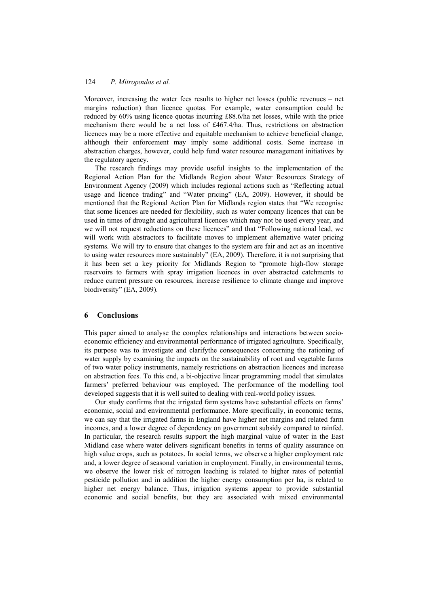Moreover, increasing the water fees results to higher net losses (public revenues – net margins reduction) than licence quotas. For example, water consumption could be reduced by 60% using licence quotas incurring £88.6/ha net losses, while with the price mechanism there would be a net loss of £467.4/ha. Thus, restrictions on abstraction licences may be a more effective and equitable mechanism to achieve beneficial change, although their enforcement may imply some additional costs. Some increase in abstraction charges, however, could help fund water resource management initiatives by the regulatory agency.

The research findings may provide useful insights to the implementation of the Regional Action Plan for the Midlands Region about Water Resources Strategy of Environment Agency (2009) which includes regional actions such as "Reflecting actual usage and licence trading" and "Water pricing" (EA, 2009). However, it should be mentioned that the Regional Action Plan for Midlands region states that "We recognise that some licences are needed for flexibility, such as water company licences that can be used in times of drought and agricultural licences which may not be used every year, and we will not request reductions on these licences" and that "Following national lead, we will work with abstractors to facilitate moves to implement alternative water pricing systems. We will try to ensure that changes to the system are fair and act as an incentive to using water resources more sustainably" (EA, 2009). Therefore, it is not surprising that it has been set a key priority for Midlands Region to "promote high-flow storage reservoirs to farmers with spray irrigation licences in over abstracted catchments to reduce current pressure on resources, increase resilience to climate change and improve biodiversity" (EA, 2009).

#### **6 Conclusions**

This paper aimed to analyse the complex relationships and interactions between socioeconomic efficiency and environmental performance of irrigated agriculture. Specifically, its purpose was to investigate and clarifythe consequences concerning the rationing of water supply by examining the impacts on the sustainability of root and vegetable farms of two water policy instruments, namely restrictions on abstraction licences and increase on abstraction fees. To this end, a bi-objective linear programming model that simulates farmers' preferred behaviour was employed. The performance of the modelling tool developed suggests that it is well suited to dealing with real-world policy issues.

Our study confirms that the irrigated farm systems have substantial effects on farms' economic, social and environmental performance. More specifically, in economic terms, we can say that the irrigated farms in England have higher net margins and related farm incomes, and a lower degree of dependency on government subsidy compared to rainfed. In particular, the research results support the high marginal value of water in the East Midland case where water delivers significant benefits in terms of quality assurance on high value crops, such as potatoes. In social terms, we observe a higher employment rate and, a lower degree of seasonal variation in employment. Finally, in environmental terms, we observe the lower risk of nitrogen leaching is related to higher rates of potential pesticide pollution and in addition the higher energy consumption per ha, is related to higher net energy balance. Thus, irrigation systems appear to provide substantial economic and social benefits, but they are associated with mixed environmental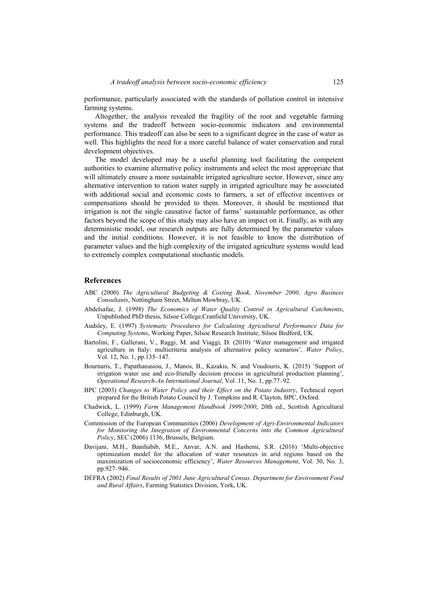performance, particularly associated with the standards of pollution control in intensive farming systems.

Altogether, the analysis revealed the fragility of the root and vegetable farming systems and the tradeoff between socio-economic indicators and environmental performance. This tradeoff can also be seen to a significant degree in the case of water as well. This highlights the need for a more careful balance of water conservation and rural development objectives.

The model developed may be a useful planning tool facilitating the competent authorities to examine alternative policy instruments and select the most appropriate that will ultimately ensure a more sustainable irrigated agriculture sector. However, since any alternative intervention to ration water supply in irrigated agriculture may be associated with additional social and economic costs to farmers, a set of effective incentives or compensations should be provided to them. Moreover, it should be mentioned that irrigation is not the single causative factor of farms' sustainable performance, as other factors beyond the scope of this study may also have an impact on it. Finally, as with any deterministic model, our research outputs are fully determined by the parameter values and the initial conditions. However, it is not feasible to know the distribution of parameter values and the high complexity of the irrigated agriculture systems would lead to extremely complex computational stochastic models.

#### **References**

- ABC (2000) *The Agricultural Budgeting & Costing Book, November 2000, Agro Business Consultants*, Nottingham Street, Melton Mowbray, UK.
- Abdelsafae, J. (1998) *The Economics of Water Quality Control in Agricultural Catchments*, Unpublished PhD thesis, Silsoe College,Cranfield University, UK.
- Audsley, E. (1997) *Systematic Procedures for Calculating Agricultural Performance Data for Computing Systems*, Working Paper, Silsoe Research Institute, Silsoe Bedford, UK.
- Bartolini, F., Gallerani, V., Raggi, M. and Viaggi, D. (2010) 'Water management and irrigated agriculture in Italy: multicriteria analysis of alternative policy scenarios', *Water Policy*, Vol. 12, No. 1, pp.135–147.
- Bournaris, T., Papathanasiou, J., Manos, B., Kazakis, N. and Voudouris, K. (2015) 'Support of irrigation water use and eco-friendly decision process in agricultural production planning', *Operational Research-An International Journal*, Vol .11, No. 1, pp.77–92.
- BPC (2003) *Changes to Water Policy and their Effect on the Potato Industry*, Technical report prepared for the British Potato Council by J. Tompkins and R. Clayton, BPC, Oxford.
- Chadwick, L. (1999) *Farm Management Handbook 1999/2000*, 20th ed., Scottish Agricultural College, Edinburgh, UK.
- Commission of the European Communities (2006) *Development of Agri-Environmental Indicators*  for Monitoring the Integration of Environmental Concerns into the Common Agricultural *Policy*, SEC (2006) 1136, Brussels, Belgium.
- Davijani, M.H., Banihabib, M.E., Anvar, A.N. and Hashemi, S.R. (2016) 'Multi-objective optimization model for the allocation of water resources in arid regions based on the maximization of socioeconomic efficiency', *Water Resources Management*, Vol. 30, No. 3, pp.927–946.
- DEFRA (2002) *Final Results of 2001 June Agricultural Census. Department for Environment Food and Rural Affairs*, Farming Statistics Division, York, UK.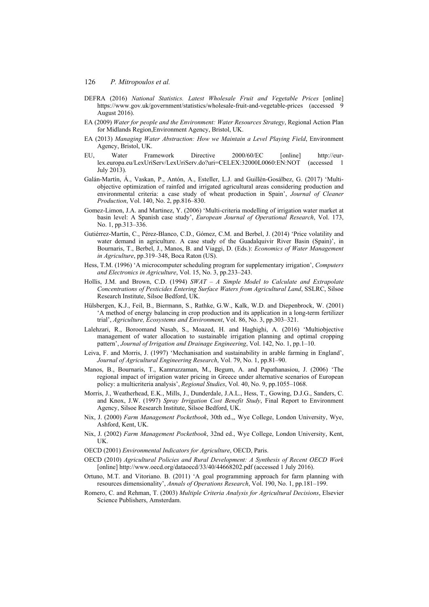- DEFRA (2016) *National Statistics. Latest Wholesale Fruit and Vegetable Prices* [online] https://www.gov.uk/government/statistics/wholesale-fruit-and-vegetable-prices (accessed 9 August 2016).
- EA (2009) *Water for people and the Environment: Water Resources Strategy*, Regional Action Plan for Midlands Region,Environment Agency, Bristol, UK.
- EA (2013) *Managing Water Abstraction: How we Maintain a Level Playing Field*, Environment Agency, Bristol, UK.
- EU, Water Framework Directive 2000/60/EC [online] http://eurlex.europa.eu/LexUriServ/LexUriServ.do?uri=CELEX:32000L0060:EN:NOT July 2013).
- Galán-Martín, Á., Vaskan, P., Antón, A., Esteller, L.J. and Guillén-Gosálbez, G. (2017) 'Multiobjective optimization of rainfed and irrigated agricultural areas considering production and environmental criteria: a case study of wheat production in Spain', *Journal of Cleaner Production*, Vol. 140, No. 2, pp.816–830.
- Gomez-Limon, J.A. and Martinez, Y. (2006) 'Multi-criteria modelling of irrigation water market at basin level: A Spanish case study', *European Journal of Operational Research*, Vol. 173, No. 1, pp.313–336.
- Gutiérrez-Martín, C., Pérez-Blanco, C.D., Gómez, C.M. and Berbel, J. (2014) 'Price volatility and water demand in agriculture. A case study of the Guadalquivir River Basin (Spain)', in Bournaris, T., Berbel, J., Manos, B. and Viaggi, D. (Eds.): *Economics of Water Management in Agriculture*, pp.319–348, Boca Raton (US).
- Hess, T.M. (1996) 'A microcomputer scheduling program for supplementary irrigation', *Computers and Electronics in Agriculture*, Vol. 15, No. 3, pp.233–243.
- Hollis, J.M. and Brown, C.D. (1994) *SWAT A Simple Model to Calculate and Extrapolate Concentrations of Pesticides Entering Surface Waters from Agricultural Land*, SSLRC, Silsoe Research Institute, Silsoe Bedford, UK.
- Hülsbergen, K.J., Feil, B., Biermann, S., Rathke, G.W., Kalk, W.D. and Diepenbrock, W. (2001) 'A method of energy balancing in crop production and its application in a long-term fertilizer trial', *Agriculture, Ecosystems and Environment*, Vol. 86, No. 3, pp.303–321.
- Lalehzari, R., Boroomand Nasab, S., Moazed, H. and Haghighi, A. (2016) 'Multiobjective management of water allocation to sustainable irrigation planning and optimal cropping pattern', *Journal of Irrigation and Drainage Engineering*, Vol. 142, No. 1, pp.1–10.
- Leiva, F. and Morris, J. (1997) 'Mechanisation and sustainability in arable farming in England', *Journal of Agricultural Engineering Research*, Vol. 79, No. 1, pp.81–90.
- Manos, B., Bournaris, T., Kamruzzaman, M., Begum, A. and Papathanasiou, J. (2006) 'The regional impact of irrigation water pricing in Greece under alternative scenarios of European policy: a multicriteria analysis', *Regional Studies*, Vol. 40, No. 9, pp.1055–1068.
- Morris, J., Weatherhead, E.K., Mills, J., Dunderdale, J.A.L., Hess, T., Gowing, D.J.G., Sanders, C. and Knox, J.W. (1997) *Spray Irrigation Cost Benefit Study*, Final Report to Environment Agency, Silsoe Research Institute, Silsoe Bedford, UK.
- Nix, J. (2000) *Farm Management Pocketbook*, 30th ed.,, Wye College, London University, Wye, Ashford, Kent, UK.
- Nix, J. (2002) *Farm Management Pocketbook*, 32nd ed., Wye College, London University, Kent, UK.
- OECD (2001) *Environmental Indicators for Agriculture*, OECD, Paris.
- OECD (2010) *Agricultural Policies and Rural Development: A Synthesis of Recent OECD Work* [online] http://www.oecd.org/dataoecd/33/40/44668202.pdf (accessed 1 July 2016).
- Ortuno, M.T. and Vitoriano. B. (2011) 'A goal programming approach for farm planning with resources dimensionality', *Annals of Operations Research*, Vol. 190, No. 1, pp.181–199.
- Romero, C. and Rehman, T. (2003) *Multiple Criteria Analysis for Agricultural Decisions*, Elsevier Science Publishers, Amsterdam.